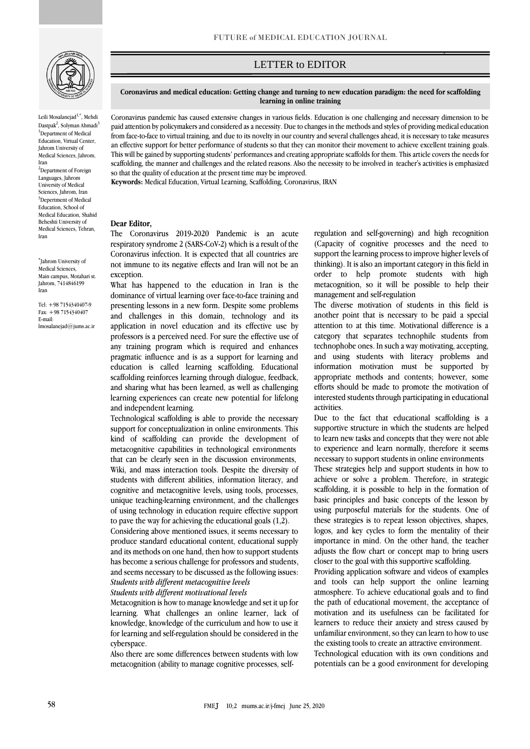

[Leili Mosalanejad](https://www.ncbi.nlm.nih.gov/pubmed/?term=Mosalanejad%20L%5BAuthor%5D&cauthor=true&cauthor_uid=25946918)<sup>1,\*</sup>, Mehdi Dastpak<sup>2</sup>, Solyman Ahmadi<sup>3</sup> <sup>1</sup>Department of Medical Education, Virtual Center, Jahrom University of Medical Sciences, Jahrom, Iran <sup>2</sup>Department of Foreign Languages, Jahrom University of Medical Sciences, Jahrom, Iran <sup>3</sup>Depertment of Medical Education, School of Medical Education, Shahid Beheshti University of Medical Sciences, Tehran, Iran

\* Jahrom University of Medical Sciences, Main campus, Motahari st. Jahrom, 7414846199 Iran

[Tel: +98](tel:+98) 7154340407-9 Fax: +98 7154340407 E-mail: [lmosalanejad@jums.ac.ir](mailto:lmosalanejad@jums.ac.ir) LETTER to EDITOR

## **Coronavirus and medical education: Getting change and turning to new education paradigm: the need for scaffolding learning in online training**

Coronavirus pandemic has caused extensive changes in various fields. Education is one challenging and necessary dimension to be paid attention by policymakers and considered as a necessity. Due to changes in the methods and styles of providing medical education from face-to-face to virtual training, and due to its novelty in our country and several challenges ahead, it is necessary to take measures an effective support for better performance of students so that they can monitor their movement to achieve excellent training goals. This will be gained by supporting students' performances and creating appropriate scaffolds for them. This article covers the needs for scaffolding, the manner and challenges and the related reasons. Also the necessity to be involved in teacher's activities is emphasized so that the quality of education at the present time may be improved.

**Keywords:** Medical Education, Virtual Learning, Scaffolding, Coronavirus, IRAN

## **Dear Editor,**

The Coronavirus 2019-2020 Pandemic is an acute respiratory syndrome 2 (SARS-CoV-2) which is a result of the Coronavirus infection. It is expected that all countries are not immune to its negative effects and Iran will not be an exception.

What has happened to the education in Iran is the dominance of virtual learning over face-to-face training and presenting lessons in a new form. Despite some problems and challenges in this domain, technology and its application in novel education and its effective use by professors is a perceived need. For sure the effective use of any training program which is required and enhances pragmatic influence and is as a support for learning and education is called learning scaffolding. Educational scaffolding reinforces learning through dialogue, feedback, and sharing what has been learned, as well as challenging learning experiences can create new potential for lifelong and independent learning.

Technological scaffolding is able to provide the necessary support for conceptualization in online environments. This kind of scaffolding can provide the development of metacognitive capabilities in technological environments that can be clearly seen in the discussion environments, Wiki, and mass interaction tools. Despite the diversity of students with different abilities, information literacy, and cognitive and metacognitive levels, using tools, processes, unique teaching-learning environment, and the challenges of using technology in education require effective support to pave the way for achieving the educational goals (1,2).

Considering above mentioned issues, it seems necessary to produce standard educational content, educational supply and its methods on one hand, then how to support students has become a serious challenge for professors and students, and seems necessary to be discussed as the following issues: *Students with different metacognitive levels*

*Students with different motivational levels*

Metacognition is how to manage knowledge and set it up for learning. What challenges an online learner, lack of knowledge, knowledge of the curriculum and how to use it for learning and self-regulation should be considered in the cyberspace.

Also there are some differences between students with low metacognition (ability to manage cognitive processes, selfregulation and self-governing) and high recognition (Capacity of cognitive processes and the need to support the learning process to improve higher levels of thinking). It is also an important category in this field in order to help promote students with high metacognition, so it will be possible to help their management and self-regulation

`ص

The diverse motivation of students in this field is another point that is necessary to be paid a special attention to at this time. Motivational difference is a category that separates technophile students from technophobe ones. In such a way motivating, accepting, and using students with literacy problems and information motivation must be supported by appropriate methods and contents; however, some efforts should be made to promote the motivation of interested students through participating in educational activities.

Due to the fact that educational scaffolding is a supportive structure in which the students are helped to learn new tasks and concepts that they were not able to experience and learn normally, therefore it seems necessary to support students in online environments These strategies help and support students in how to achieve or solve a problem. Therefore, in strategic scaffolding, it is possible to help in the formation of basic principles and basic concepts of the lesson by using purposeful materials for the students. One of these strategies is to repeat lesson objectives, shapes, logos, and key cycles to form the mentality of their importance in mind. On the other hand, the teacher adjusts the flow chart or concept map to bring users

closer to the goal with this supportive scaffolding. Providing application software and videos of examples and tools can help support the online learning atmosphere. To achieve educational goals and to find the path of educational movement, the acceptance of motivation and its usefulness can be facilitated for learners to reduce their anxiety and stress caused by

unfamiliar environment, so they can learn to how to use the existing tools to create an attractive environment. Technological education with its own conditions and

potentials can be a good environment for developing